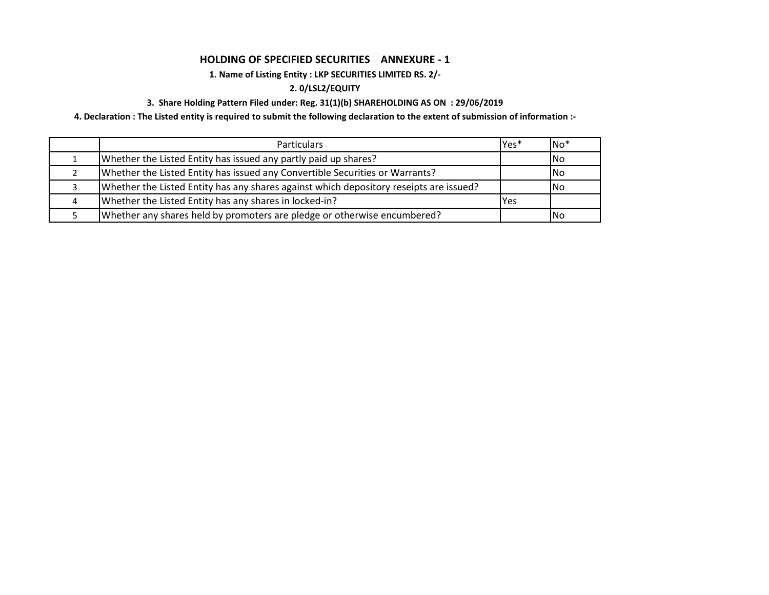## **HOLDING OF SPECIFIED SECURITIES ANNEXURE - 1**

# **1. Name of Listing Entity : LKP SECURITIES LIMITED RS. 2/-**

## **2. 0/LSL2/EQUITY**

## **3. Share Holding Pattern Filed under: Reg. 31(1)(b) SHAREHOLDING AS ON : 29/06/2019**

**4. Declaration : The Listed entity is required to submit the following declaration to the extent of submission of information :-**

| <b>Particulars</b>                                                                     | Yes* | $No*$ |
|----------------------------------------------------------------------------------------|------|-------|
| Whether the Listed Entity has issued any partly paid up shares?                        |      | INo.  |
| Whether the Listed Entity has issued any Convertible Securities or Warrants?           |      | INo.  |
| Whether the Listed Entity has any shares against which depository reseipts are issued? |      | INo.  |
| Whether the Listed Entity has any shares in locked-in?                                 | Yes  |       |
| Whether any shares held by promoters are pledge or otherwise encumbered?               |      | INo.  |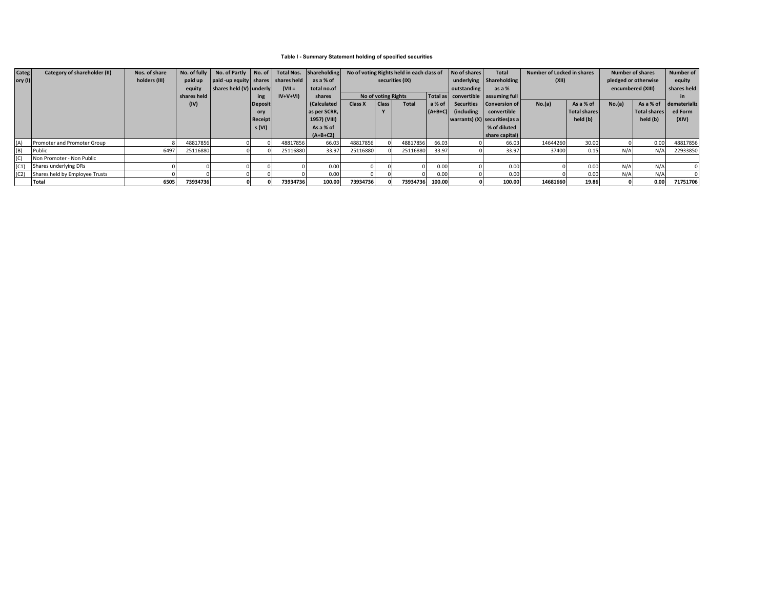### **Table I - Summary Statement holding of specified securities**

| Categ       | Category of shareholder (II)        | Nos. of share | No. of fully | No. of Partly No. of              |                |           | Total Nos. Shareholding | No of voting Rights held in each class of |                     | No of shares    | <b>Total</b> | Number of Locked in shares |                                        | <b>Number of shares</b> |              | Number of            |              |              |
|-------------|-------------------------------------|---------------|--------------|-----------------------------------|----------------|-----------|-------------------------|-------------------------------------------|---------------------|-----------------|--------------|----------------------------|----------------------------------------|-------------------------|--------------|----------------------|--------------|--------------|
| $ $ ory (I) |                                     | holders (III) | paid up      | paid-up equity shares shares held |                |           | as a % of               |                                           | securities (IX)     |                 |              | underlying Shareholding    |                                        | (XII)                   |              | pledged or otherwise |              |              |
|             |                                     |               | equity       | shares held (V) underly           |                | $(VII =$  | total no.of             |                                           |                     |                 |              | outstanding<br>as a %      |                                        |                         |              | encumbered (XIII)    |              | shares held  |
|             |                                     |               | shares held  |                                   | ing            | $IV+V+VI$ | shares                  |                                           | No of voting Rights |                 |              |                            | Total as   convertible   assuming full |                         |              |                      |              |              |
|             |                                     |               | (IV)         |                                   | Deposit        |           | Calculated              | <b>Class X</b>                            | Class <sup>1</sup>  | <b>Total</b>    | a % of       |                            | Securities   Conversion of             | No.(a)                  | As a % of    | No.(a)               | As a % of    | dematerializ |
|             |                                     |               |              |                                   | ory            |           | as per SCRR,            |                                           |                     |                 | $(A+B+C)$    | (including                 | convertible                            |                         | Total shares |                      | Total shares | ed Form      |
|             |                                     |               |              |                                   | <b>Receipt</b> |           | 1957) (VIII)            |                                           |                     |                 |              |                            | warrants) $(X)$ securities (as a       |                         | held (b)     |                      | held (b)     | (XIV)        |
|             |                                     |               |              |                                   | s (VI)         |           | As a % of               |                                           |                     |                 |              |                            | % of diluted                           |                         |              |                      |              |              |
|             |                                     |               |              |                                   |                |           | $(A+B+C2)$              |                                           |                     |                 |              |                            | share capital)                         |                         |              |                      |              |              |
| (A)         | Promoter and Promoter Group         |               | 48817856     |                                   |                | 48817856  | 66.03                   | 48817856                                  |                     | 48817856        | 66.03        |                            | 66.03                                  | 14644260                | 30.00        |                      | 0.00         | 48817856     |
| (B)         | Public                              | 6497          | 25116880     |                                   |                | 25116880  | 33.97                   | 25116880                                  |                     | 25116880        | 33.97        |                            | 33.97                                  | 37400                   | 0.15         |                      | N/A          | 22933850     |
| (C)         | Non Promoter - Non Public           |               |              |                                   |                |           |                         |                                           |                     |                 |              |                            |                                        |                         |              |                      |              |              |
| (C1)        | Shares underlying DRs               |               |              |                                   |                |           | 0.00                    |                                           |                     |                 | 0.00         |                            | 0.00                                   |                         | 0.00         | N/A                  | N/A          |              |
|             | (C2) Shares held by Employee Trusts |               |              |                                   |                |           | 0.00                    |                                           |                     |                 | 0.00         |                            | 0.00                                   |                         | 0.00         | N/A                  | N/A          |              |
|             | Total                               | 6505          | 73934736     |                                   |                | 73934736  | 100.00                  | 73934736                                  |                     | 73934736 100.00 |              |                            | 100.00                                 | 14681660                | 19.86        |                      | 0.00         | 71751706     |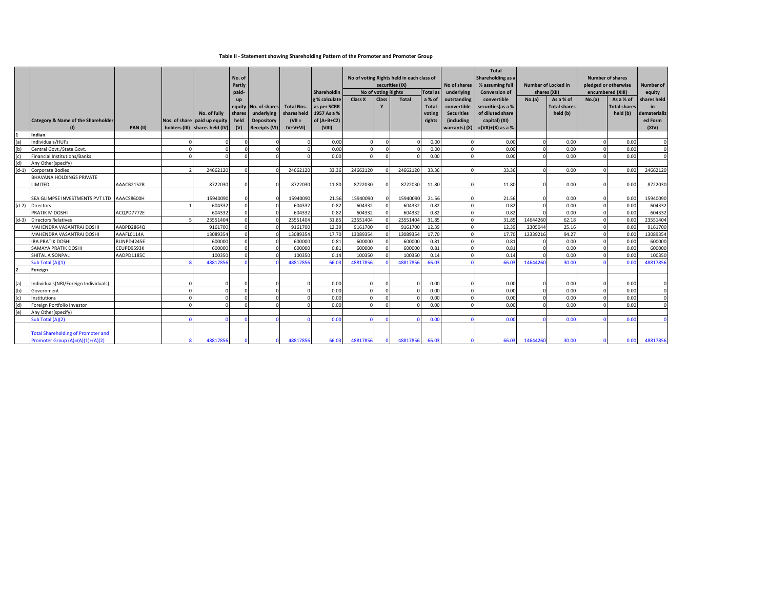### **Table II - Statement showing Shareholding Pattern of the Promoter and Promoter Group**

|         |                                               |            |          |                                |        |                      |                   |               |                                           |                     |                 |              | <b>Total</b>      |                      |              |                            |                         |                     |              |
|---------|-----------------------------------------------|------------|----------|--------------------------------|--------|----------------------|-------------------|---------------|-------------------------------------------|---------------------|-----------------|--------------|-------------------|----------------------|--------------|----------------------------|-------------------------|---------------------|--------------|
|         |                                               |            |          |                                | No. of |                      |                   |               | No of voting Rights held in each class of |                     |                 |              |                   | Shareholding as a    |              |                            | <b>Number of shares</b> |                     |              |
|         |                                               |            |          |                                | Partly |                      |                   |               |                                           |                     | securities (IX) |              | No of shares      | % assuming full      |              | <b>Number of Locked in</b> | pledged or otherwise    |                     | Number of    |
|         |                                               |            |          |                                | paid-  |                      |                   | Shareholdin   |                                           | No of voting Rights |                 | Total as     | underlying        | <b>Conversion of</b> | shares (XII) |                            | encumbered (XIII)       |                     | equity       |
|         |                                               |            |          |                                |        |                      |                   | g % calculate | Class X                                   | Class               | <b>Total</b>    | a % of       | outstanding       | convertible          | No.(a)       | As a % of                  | No.(a)                  | As a % of           | shares held  |
|         |                                               |            |          |                                |        | equity No. of shares | <b>Total Nos.</b> | as per SCRR   |                                           | Y                   |                 | <b>Total</b> | convertible       | securities (as a %   |              | <b>Total shares</b>        |                         | <b>Total shares</b> | in           |
|         |                                               |            |          | No. of fully                   | shares | underlying           | shares held       | 1957 As a %   |                                           |                     |                 | voting       | <b>Securities</b> | of diluted share     |              | held (b)                   |                         | held (b)            | dematerializ |
|         | <b>Category &amp; Name of the Shareholder</b> |            |          | Nos. of share paid up equity   | held   | <b>Depository</b>    | $(VII =$          | of $(A+B+C2)$ |                                           |                     |                 | rights       | (including        | capital) (XI)        |              |                            |                         |                     | ed Form      |
|         |                                               | PAN(II)    |          | holders (III) shares held (IV) | (V)    | <b>Receipts (VI)</b> | $IV+V+VI$         | (VIII)        |                                           |                     |                 |              | warrants) (X)     | $=(VII)+(X)$ as a %  |              |                            |                         |                     | (XIV)        |
|         | Indian                                        |            |          |                                |        |                      |                   |               |                                           |                     |                 |              |                   |                      |              |                            |                         |                     |              |
|         | Individuals/HUFs                              |            |          |                                |        |                      |                   | 0.00          |                                           |                     |                 | 0.00         |                   | 0.00                 |              | 0.00                       |                         | 0.00                |              |
| (b)     | Central Govt./State Govt.                     |            |          |                                |        |                      |                   | 0.00          |                                           |                     |                 | 0.00         |                   | 0.00                 |              | 0.00                       |                         | 0.00                |              |
| (c)     | Financial Institutions/Banks                  |            |          |                                |        |                      |                   | 0.00          |                                           |                     |                 | 0.00         |                   | 0.00                 |              | 0.00                       |                         | 0.00                |              |
| (d)     | Any Other(specify)                            |            |          |                                |        |                      |                   |               |                                           |                     |                 |              |                   |                      |              |                            |                         |                     |              |
| $(d-1)$ | <b>Corporate Bodies</b>                       |            |          | 24662120                       |        |                      | 24662120          | 33.36         | 24662120                                  |                     | 24662120        | 33.36        |                   | 33.36                |              | 0.00                       | $\Omega$                | 0.00                | 24662120     |
|         | <b>BHAVANA HOLDINGS PRIVATE</b>               |            |          |                                |        |                      |                   |               |                                           |                     |                 |              |                   |                      |              |                            |                         |                     |              |
|         | LIMITED                                       | AAACB2152R |          | 8722030                        |        |                      | 8722030           | 11.80         | 8722030                                   |                     | 8722030         | 11.80        |                   | 11.80                | $\Omega$     | 0.00                       |                         | 0.00                | 8722030      |
|         |                                               |            |          |                                |        |                      |                   |               |                                           |                     |                 |              |                   |                      |              |                            |                         |                     |              |
|         | SEA GLIMPSE INVESTMENTS PVT LTD AAACS8600H    |            |          | 15940090                       |        |                      | 15940090          | 21.56         | 15940090                                  |                     | 15940090        | 21.56        |                   | 21.56                | $\Omega$     | 0.00                       |                         | 0.00                | 15940090     |
| $(d-2)$ | Directors                                     |            |          | 604332                         |        |                      | 604332            | 0.82          | 604332                                    |                     | 604332          | 0.82         |                   | 0.82                 | $\Omega$     | 0.00                       | $\Omega$                | 0.00                | 604332       |
|         | PRATIK M DOSHI                                | ACQPD7772E |          | 604332                         |        |                      | 604332            | 0.82          | 604332                                    |                     | 604332          | 0.82         |                   | 0.82                 | $\Omega$     | 0.00                       | $\Omega$                | 0.00                | 604332       |
| $(d-3)$ | <b>Directors Relatives</b>                    |            |          | 23551404                       |        |                      | 23551404          | 31.85         | 23551404                                  |                     | 23551404        | 31.85        |                   | 31.85                | 14644260     | 62.18                      | $\Omega$                | 0.00                | 23551404     |
|         | MAHENDRA VASANTRAI DOSHI                      | AABPD2864Q |          | 9161700                        |        |                      | 9161700           | 12.39         | 9161700                                   |                     | 9161700         | 12.39        |                   | 12.39                | 2305044      | 25.16                      |                         | 0.00                | 9161700      |
|         | MAHENDRA VASANTRAI DOSHI                      | AAAFL0114A |          | 13089354                       |        |                      | 13089354          | 17.70         | 13089354                                  |                     | 1308935         | 17.70        |                   | 17.70                | 12339216     | 94.27                      |                         | 0.00                | 13089354     |
|         | <b>IRA PRATIK DOSHI</b>                       | BUNPD4245E |          | 600000                         |        |                      | 600000            | 0.81          | 600000                                    |                     | 600000          | 0.81         |                   | 0.81                 |              | 0.00                       | $\Omega$                | 0.00                | 600000       |
|         | SAMAYA PRATIK DOSHI                           | CEUPD9593K |          | 600000                         |        |                      | 600000            | 0.81          | 600000                                    |                     | 600000          | 0.81         |                   | 0.81                 |              | 0.00                       |                         | 0.00                | 600000       |
|         | SHITAL A SONPAL                               | AADPD1185C |          | 100350                         |        |                      | 100350            | 0.14          | 100350                                    |                     | 10035           | 0.14         |                   | 0.14                 |              | 0.00                       | $\Omega$                | 0.00                | 100350       |
|         | Sub Total (A)(1)                              |            |          | 4881785                        |        |                      | 48817856          | 66.03         | 48817856                                  |                     | 4881785         | 66.03        |                   | 66.03                | 14644260     | 30.00                      |                         | 0.00                | 48817856     |
|         | Foreign                                       |            |          |                                |        |                      |                   |               |                                           |                     |                 |              |                   |                      |              |                            |                         |                     |              |
|         |                                               |            |          |                                |        |                      |                   |               |                                           |                     |                 |              |                   |                      |              |                            |                         |                     |              |
|         | Individuals(NRI/Foreign Individuals)          |            |          |                                |        |                      |                   | 0.00          |                                           |                     |                 | 0.00         |                   | 0.00                 | $\Omega$     | 0.00                       |                         | 0.00                |              |
| (b)     | Government                                    |            |          | $\Omega$                       |        |                      |                   | 0.00          |                                           |                     |                 | 0.00         |                   | 0.00                 | $\Omega$     | 0.00                       |                         | 0.00                | $\Omega$     |
| (c)     | Institutions                                  |            | $\Omega$ | $\Omega$                       |        | $\Omega$             |                   | 0.00          |                                           |                     |                 | 0.00         |                   | 0.00                 |              | 0.00                       |                         | 0.00                |              |
| (d)     | Foreign Portfolio Investor                    |            |          |                                |        |                      |                   | 0.00          |                                           |                     |                 | 0.00         |                   | 0.00                 |              | 0.00                       |                         | 0.00                |              |
| (e)     | Any Other(specify)                            |            |          |                                |        |                      |                   |               |                                           |                     |                 |              |                   |                      |              |                            |                         |                     |              |
|         | Sub Total (A)(2)                              |            |          |                                |        |                      |                   | 0.00          |                                           |                     |                 | 0.00         |                   | 0.00                 |              | 0.00                       |                         | 0.00                |              |
|         |                                               |            |          |                                |        |                      |                   |               |                                           |                     |                 |              |                   |                      |              |                            |                         |                     |              |
|         | <b>Total Shareholding of Promoter and</b>     |            |          |                                |        |                      |                   |               |                                           |                     |                 |              |                   |                      |              |                            |                         |                     |              |
|         | Promoter Group (A)=(A)(1)+(A)(2)              |            |          | 48817856                       |        |                      | 48817856          | 66.03         | 48817856                                  |                     | 48817856        | 66.03        |                   | 66.03                | 14644260     | 30.00                      |                         | 0.00                | 48817856     |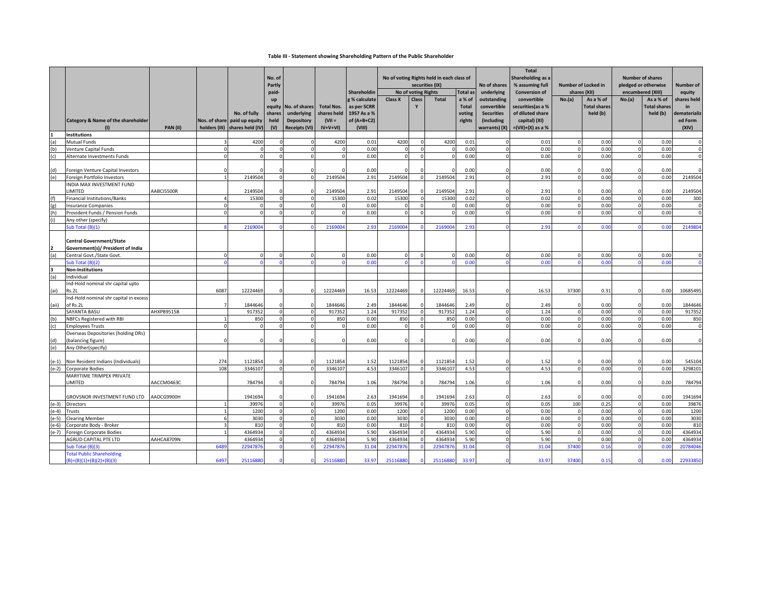### **Table III - Statement showing Shareholding Pattern of the Public Shareholder**

|                |                                                                  |            |          |                                |                      |                      |                   |                              |                                           |                                     |                 |                           |                           | <b>Total</b>                        |                      |                           |                             |                      |                       |
|----------------|------------------------------------------------------------------|------------|----------|--------------------------------|----------------------|----------------------|-------------------|------------------------------|-------------------------------------------|-------------------------------------|-----------------|---------------------------|---------------------------|-------------------------------------|----------------------|---------------------------|-----------------------------|----------------------|-----------------------|
|                |                                                                  |            |          |                                | No. of               |                      |                   |                              | No of voting Rights held in each class of |                                     |                 |                           | Shareholding as a         |                                     |                      |                           | <b>Number of shares</b>     |                      |                       |
|                |                                                                  |            |          |                                | Partly               |                      |                   |                              |                                           |                                     | securities (IX) |                           | No of shares              | % assuming full                     |                      | Number of Locked in       |                             | pledged or otherwise | Number of             |
|                |                                                                  |            |          |                                | paid-                |                      |                   | Shareholdin<br>g % calculate | Class X                                   | No of voting Rights<br><b>Class</b> | <b>Total</b>    | <b>Total as</b><br>a % of | underlying<br>outstanding | <b>Conversion of</b><br>convertible | No.(a)               | shares (XII)<br>As a % of | encumbered (XIII)<br>No.(a) | As a % of            | equity<br>shares held |
|                |                                                                  |            |          |                                | up<br>equity         | No. of shares        | <b>Total Nos.</b> | as per SCRR                  |                                           |                                     |                 | <b>Total</b>              | convertible               | securities(as a %                   |                      | <b>Total shares</b>       |                             | <b>Total shares</b>  | in                    |
|                |                                                                  |            |          | No. of fully                   | shares               | underlying           | shares held       | 1957 As a %                  |                                           |                                     |                 | voting                    | <b>Securities</b>         | of diluted share                    |                      | held (b)                  |                             | held (b)             | dematerializ          |
|                | Category & Name of the shareholder                               |            |          | Nos. of share paid up equity   | held                 | <b>Depository</b>    | $(VII =$          | of $(A+B+C2)$                |                                           |                                     |                 | rights                    | (including                | capital) (XI)                       |                      |                           |                             |                      | ed Form               |
|                | (1)                                                              | PAN(II)    |          | holders (III) shares held (IV) | (V)                  | <b>Receipts (VI)</b> | $IV+V+VI$         | (VIII)                       |                                           |                                     |                 |                           | warrants) (X)             | $=(VII)+(X)$ as a %                 |                      |                           |                             |                      | (XIV)                 |
|                | Institutions                                                     |            |          |                                |                      |                      |                   |                              |                                           |                                     |                 |                           |                           |                                     |                      |                           |                             |                      |                       |
| (a)            | Mutual Funds                                                     |            |          | 4200                           | $\Omega$             |                      | 4200              | 0.01                         | 4200                                      | $\Omega$                            | 4200            | 0.01                      |                           | 0.01                                | $\Omega$             | 0.00                      | $\Omega$                    | 0.00                 | $\Omega$              |
| (b)            | Venture Capital Funds                                            |            | $\Omega$ |                                | $\Omega$             | $\Omega$             |                   | 0.00                         |                                           | $\Omega$                            |                 | 0.00                      | $\Omega$                  | 0.00                                | $\Omega$             | 0.00                      | $\Omega$                    | 0.00                 | $\Omega$              |
| (c)            | Alternate Investments Funds                                      |            | $\Omega$ |                                | $\mathbf{0}$         | $\Omega$             |                   | 0.00                         |                                           | $\Omega$                            |                 | 0.00                      |                           | 0.00                                | $\Omega$             | 0.00                      | $\Omega$                    | 0.00                 | $\mathbf 0$           |
|                |                                                                  |            |          |                                |                      |                      |                   |                              |                                           |                                     |                 |                           |                           |                                     |                      |                           |                             |                      | $\Omega$              |
| (d)<br>(e)     | Foreign Venture Capital Investors<br>Foreign Portfolio Investors |            |          | 2149504                        | $\Omega$             |                      | 2149504           | 0.00<br>2.91                 | 2149504                                   |                                     | 2149504         | 0.00<br>2.91              |                           | 0.00<br>2.91                        | $\Omega$<br>$\Omega$ | 0.00<br>0.00              | $\Omega$                    | 0.00<br>0.00         | 2149504               |
|                | INDIA MAX INVESTMENT FUND                                        |            |          |                                |                      |                      |                   |                              |                                           |                                     |                 |                           |                           |                                     |                      |                           |                             |                      |                       |
|                | <b>LIMITED</b>                                                   | AABCI5500R |          | 2149504                        | $\Omega$             | $\Omega$             | 2149504           | 2.91                         | 2149504                                   |                                     | 2149504         | 2.91                      |                           | 2.91                                | $\Omega$             | 0.00                      | n                           | 0.00                 | 2149504               |
|                | Financial Institutions/Banks                                     |            |          | 15300                          | $\Omega$             |                      | 15300             | 0.02                         | 15300                                     | $\Omega$                            | 15300           | 0.02                      | $\Omega$                  | 0.02                                | $\Omega$             | 0.00                      | $\Omega$                    | 0.00                 | 300                   |
| (g)            | <b>Insurance Companies</b>                                       |            | $\Omega$ | $\Omega$                       | $\Omega$             | $\Omega$             | $\Omega$          | 0.00                         |                                           | $\Omega$                            | $\sqrt{ }$      | 0.00                      | $\Omega$                  | 0.00                                | $\Omega$             | 0.00                      | $\Omega$                    | 0.00                 | $\mathbf{0}$          |
|                | Provident Funds / Pension Funds                                  |            | $\Omega$ |                                | $\overline{0}$       | $\Omega$             | $\sqrt{ }$        | 0.00                         |                                           | $\Omega$                            | $\Omega$        | 0.00                      |                           | 0.00                                | $\Omega$             | 0.00                      | $\Omega$                    | 0.00                 | $\mathbf 0$           |
|                | Any other (specify)                                              |            |          |                                |                      |                      |                   |                              |                                           |                                     |                 |                           |                           |                                     |                      |                           |                             |                      |                       |
|                | Sub Total (B)(1)                                                 |            |          | 216900                         | $\Omega$             |                      | 216900            | 2.93                         | 216900                                    |                                     | 216900          | 2.93                      |                           | 2.93                                |                      | 0.0                       |                             | 0.00                 | 214980                |
|                |                                                                  |            |          |                                |                      |                      |                   |                              |                                           |                                     |                 |                           |                           |                                     |                      |                           |                             |                      |                       |
|                | <b>Central Government/State</b>                                  |            |          |                                |                      |                      |                   |                              |                                           |                                     |                 |                           |                           |                                     |                      |                           |                             |                      |                       |
|                | Government(s)/ President of India                                |            |          |                                |                      |                      |                   |                              |                                           |                                     |                 |                           |                           |                                     |                      |                           |                             |                      |                       |
| (a)            | Central Govt./State Govt.<br>ub Total (B)(2)                     |            | $\Omega$ |                                | $\mathbf{0}$         |                      |                   | 0.00<br>0.00                 |                                           | $\mathbf 0$                         |                 | 0.00<br>0.00              |                           | 0.00<br>0.00                        | $\Omega$             | 0.00<br>0.00              | $\Omega$                    | 0.00<br>0.00         | $\mathbf 0$           |
|                | <b>Non-Institutions</b>                                          |            |          |                                |                      |                      |                   |                              |                                           |                                     |                 |                           |                           |                                     |                      |                           |                             |                      |                       |
| (a)            | ndividual                                                        |            |          |                                |                      |                      |                   |                              |                                           |                                     |                 |                           |                           |                                     |                      |                           |                             |                      |                       |
|                | Ind-Hold nominal shr capital upto                                |            |          |                                |                      |                      |                   |                              |                                           |                                     |                 |                           |                           |                                     |                      |                           |                             |                      |                       |
| (ai)           | Rs.2L                                                            |            | 6087     | 12224469                       | $\Omega$             | $\Omega$             | 12224469          | 16.53                        | 12224469                                  |                                     | 12224469        | 16.53                     |                           | 16.53                               | 37300                | 0.31                      |                             | 0.00                 | 10685495              |
|                | Ind-Hold nominal shr capital in excess                           |            |          |                                |                      |                      |                   |                              |                                           |                                     |                 |                           |                           |                                     |                      |                           |                             |                      |                       |
| (aii)          | of Rs.2L                                                         |            |          | 1844646                        | $\Omega$             | $\Omega$             | 1844646           | 2.49                         | 1844646                                   |                                     | 1844646         | 2.49                      |                           | 2.49                                | $\Omega$             | 0.00                      |                             | 0.00                 | 1844646               |
|                | SAYANTA BASU                                                     | AHXPB9515B |          | 917352                         | $\mathbf{0}$         | $\Omega$             | 917352            | 1.24                         | 917352                                    | $\Omega$                            | 917352          | 1.24                      | $\Omega$                  | 1.24                                | $\overline{0}$       | 0.00                      | $\mathbf{0}$                | 0.00                 | 917352                |
| (b)            | NBFCs Registered with RBI                                        |            |          | 850                            | $\overline{0}$       | $\Omega$             | 850               | 0.00                         | 850                                       | $\Omega$                            | 850             | 0.00                      |                           | 0.00                                | $\Omega$             | 0.00                      | $\Omega$                    | 0.00                 | 850                   |
| (c)            | <b>Employees Trusts</b>                                          |            |          |                                | $\Omega$             | $\Omega$             | $\Omega$          | 0.00                         |                                           | $\Omega$                            |                 | 0.00                      |                           | 0.00                                | $\Omega$             | 0.00                      | $\Omega$                    | 0.00                 | $\Omega$              |
|                | <b>Overseas Depositories (holding DRs)</b>                       |            | $\Omega$ |                                | $\Omega$             |                      | $\Omega$          | 0.00                         |                                           | $\Omega$                            | C               | 0.00                      |                           | 0.00                                | $\mathbf 0$          | 0.00                      |                             | 0.00                 | $\mathbf 0$           |
| (d)<br>(e)     | (balancing figure)<br>Any Other(specify)                         |            |          |                                |                      | 0                    |                   |                              |                                           |                                     |                 |                           |                           |                                     |                      |                           |                             |                      |                       |
|                |                                                                  |            |          |                                |                      |                      |                   |                              |                                           |                                     |                 |                           |                           |                                     |                      |                           |                             |                      |                       |
| $(e-1)$        | Non Resident Indians (Individuals)                               |            | 274      | 1121854                        | n                    |                      | 1121854           | 1.52                         | 1121854                                   |                                     | 1121854         | 1.52                      |                           | 1.52                                | $\Omega$             | 0.00                      |                             | 0.00                 | 545104                |
| $(e-2)$        | Corporate Bodies                                                 |            | 108      | 3346107                        | $\Omega$             |                      | 3346107           | 4.53                         | 3346107                                   | $\Omega$                            | 3346107         | 4.53                      |                           | 4.53                                | $\Omega$             | 0.00                      | $\Omega$                    | 0.00                 | 3298101               |
|                | MARYTIME TRIMPEX PRIVATE                                         |            |          |                                |                      |                      |                   |                              |                                           |                                     |                 |                           |                           |                                     |                      |                           |                             |                      |                       |
|                | <b>LIMITED</b>                                                   | AACCM0463C |          | 784794                         | $\Omega$             |                      | 784794            | 1.06                         | 784794                                    |                                     | 784794          | 1.06                      |                           | 1.06                                | $\Omega$             | 0.00                      |                             | 0.00                 | 784794                |
|                |                                                                  |            |          |                                |                      |                      |                   |                              |                                           |                                     |                 |                           |                           |                                     |                      |                           |                             |                      |                       |
|                | GROVSNOR INVESTMENT FUND LTD                                     | AADCG9900H |          | 1941694                        | $\Omega$             | $\Omega$             | 1941694           | 2.63                         | 1941694                                   | $\Omega$                            | 1941694         | 2.63                      |                           | 2.63                                | $\Omega$             | 0.00                      |                             | 0.00                 | 1941694               |
| $(e-3)$        | <b>Directors</b>                                                 |            |          | 39976                          | $\overline{0}$       | $\Omega$             | 39976             | 0.05                         | 39976                                     | $\Omega$                            | 39976           | 0.05                      |                           | 0.05                                | 100                  | 0.25                      | $\Omega$                    | 0.00                 | 39876                 |
| $e-4$          | Trusts                                                           |            |          | 1200                           | $\Omega$             | $\Omega$             | 1200              | 0.00                         | 1200                                      | $\Omega$                            | 1200            | 0.00                      |                           | 0.00                                | $\Omega$             | 0.00                      | $\Omega$                    | 0.00                 | 1200                  |
| $e-5)$         | <b>Clearing Member</b>                                           |            |          | 3030<br>810                    | $\Omega$<br>$\Omega$ | $\Omega$<br>$\Omega$ | 3030              | 0.00<br>0.00                 | 3030<br>810                               | $\Omega$<br>$\Omega$                | 3030            | 0.00                      | $\Omega$                  | 0.00<br>0.00                        | $\Omega$<br>$\Omega$ | 0.00<br>0.00              | $\Omega$<br>$\Omega$        | 0.00<br>0.00         | 3030                  |
| (e-6)<br>(e-7) | Corporate Body - Broker<br>Foreign Corporate Bodies              |            |          | 4364934                        | $\Omega$             | $\Omega$             | 810<br>4364934    | 5.90                         | 4364934                                   |                                     | 810<br>4364934  | 0.00<br>5.90              |                           | 5.90                                | $\Omega$             | 0.00                      | $\Omega$                    | 0.00                 | 810<br>4364934        |
|                | <b>AGRUD CAPITAL PTE LTD</b>                                     | AAHCA8709N |          | 4364934                        | $\mathbf 0$          |                      | 4364934           | 5.90                         | 4364934                                   | $\Omega$                            | 4364934         | 5.90                      |                           | 5.90                                | $\Omega$             | 0.00                      | $\mathbf 0$                 | 0.00                 | 436493                |
|                | Sub Total (B)(3)                                                 |            | 648      | 2294787                        | $\Omega$             |                      | 2294787           | 31.04                        | 2294787                                   |                                     | 229478          | 31.04                     |                           | 31.04                               | 37400                | 0.16                      |                             | 0.00                 | 2078404               |
|                | <b>Total Public Shareholding</b>                                 |            |          |                                |                      |                      |                   |                              |                                           |                                     |                 |                           |                           |                                     |                      |                           |                             |                      |                       |
|                | $(B)=(B)(1)+(B)(2)+(B)(3)$                                       |            | 6497     | 25116880                       |                      | $\mathbf{0}$         | 25116880          | 33.97                        | 25116880                                  | $\Omega$                            | 25116880        | 33.97                     |                           | 33.97                               | 37400                | 0.15                      |                             | 0.00                 | 22933850              |